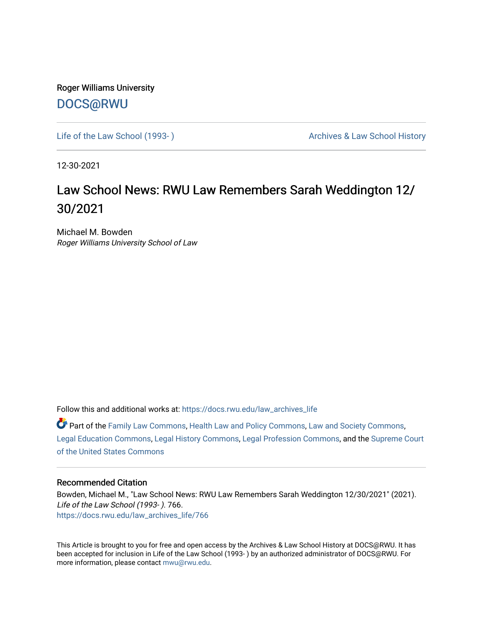Roger Williams University [DOCS@RWU](https://docs.rwu.edu/)

Life of the Law School (1993-) Case Archives & Law School History

12-30-2021

## Law School News: RWU Law Remembers Sarah Weddington 12/ 30/2021

Michael M. Bowden Roger Williams University School of Law

Follow this and additional works at: [https://docs.rwu.edu/law\\_archives\\_life](https://docs.rwu.edu/law_archives_life?utm_source=docs.rwu.edu%2Flaw_archives_life%2F766&utm_medium=PDF&utm_campaign=PDFCoverPages)

Part of the [Family Law Commons,](http://network.bepress.com/hgg/discipline/602?utm_source=docs.rwu.edu%2Flaw_archives_life%2F766&utm_medium=PDF&utm_campaign=PDFCoverPages) [Health Law and Policy Commons](http://network.bepress.com/hgg/discipline/901?utm_source=docs.rwu.edu%2Flaw_archives_life%2F766&utm_medium=PDF&utm_campaign=PDFCoverPages), [Law and Society Commons,](http://network.bepress.com/hgg/discipline/853?utm_source=docs.rwu.edu%2Flaw_archives_life%2F766&utm_medium=PDF&utm_campaign=PDFCoverPages) [Legal Education Commons,](http://network.bepress.com/hgg/discipline/857?utm_source=docs.rwu.edu%2Flaw_archives_life%2F766&utm_medium=PDF&utm_campaign=PDFCoverPages) [Legal History Commons](http://network.bepress.com/hgg/discipline/904?utm_source=docs.rwu.edu%2Flaw_archives_life%2F766&utm_medium=PDF&utm_campaign=PDFCoverPages), [Legal Profession Commons,](http://network.bepress.com/hgg/discipline/1075?utm_source=docs.rwu.edu%2Flaw_archives_life%2F766&utm_medium=PDF&utm_campaign=PDFCoverPages) and the [Supreme Court](http://network.bepress.com/hgg/discipline/1350?utm_source=docs.rwu.edu%2Flaw_archives_life%2F766&utm_medium=PDF&utm_campaign=PDFCoverPages) [of the United States Commons](http://network.bepress.com/hgg/discipline/1350?utm_source=docs.rwu.edu%2Flaw_archives_life%2F766&utm_medium=PDF&utm_campaign=PDFCoverPages)

## Recommended Citation

Bowden, Michael M., "Law School News: RWU Law Remembers Sarah Weddington 12/30/2021" (2021). Life of the Law School (1993- ). 766. [https://docs.rwu.edu/law\\_archives\\_life/766](https://docs.rwu.edu/law_archives_life/766?utm_source=docs.rwu.edu%2Flaw_archives_life%2F766&utm_medium=PDF&utm_campaign=PDFCoverPages)

This Article is brought to you for free and open access by the Archives & Law School History at DOCS@RWU. It has been accepted for inclusion in Life of the Law School (1993- ) by an authorized administrator of DOCS@RWU. For more information, please contact [mwu@rwu.edu](mailto:mwu@rwu.edu).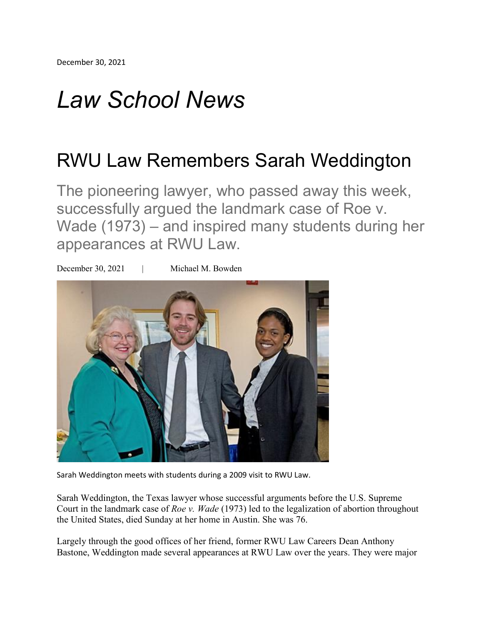## *Law School News*

## RWU Law Remembers Sarah Weddington

The pioneering lawyer, who passed away this week, successfully argued the landmark case of Roe v. Wade (1973) – and inspired many students during her appearances at RWU Law.



Sarah Weddington meets with students during a 2009 visit to RWU Law.

Sarah Weddington, the Texas lawyer whose successful arguments before the U.S. Supreme Court in the landmark case of *Roe v. Wade* (1973) led to the legalization of abortion throughout the United States, died Sunday at her home in Austin. She was 76.

Largely through the good offices of her friend, former RWU Law Careers Dean Anthony Bastone, Weddington made several appearances at RWU Law over the years. They were major